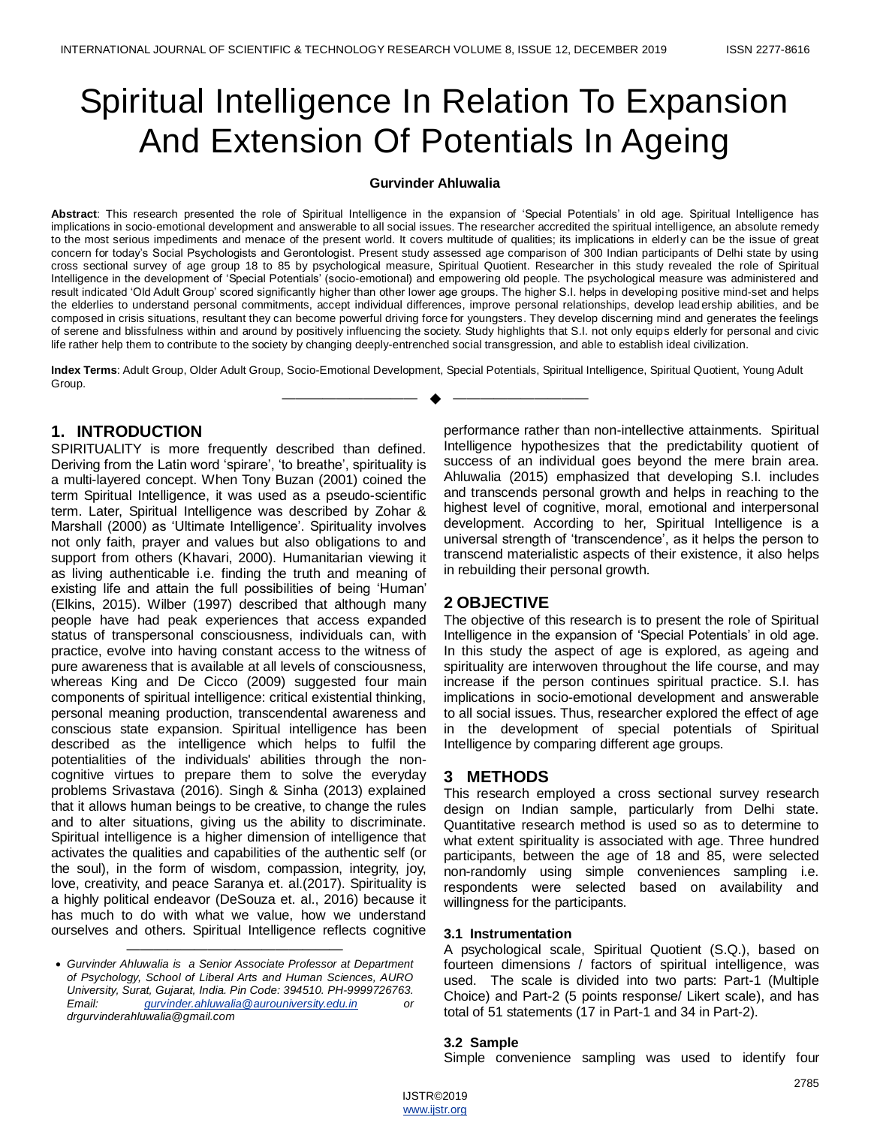# Spiritual Intelligence In Relation To Expansion And Extension Of Potentials In Ageing

#### **Gurvinder Ahluwalia**

Abstract: This research presented the role of Spiritual Intelligence in the expansion of 'Special Potentials' in old age. Spiritual Intelligence has implications in socio-emotional development and answerable to all social issues. The researcher accredited the spiritual intelligence, an absolute remedy to the most serious impediments and menace of the present world. It covers multitude of qualities; its implications in elderly can be the issue of great concern for today's Social Psychologists and Gerontologist. Present study assessed age comparison of 300 Indian participants of Delhi state by using cross sectional survey of age group 18 to 85 by psychological measure, Spiritual Quotient. Researcher in this study revealed the role of Spiritual Intelligence in the development of ‗Special Potentials' (socio-emotional) and empowering old people. The psychological measure was administered and result indicated 'Old Adult Group' scored significantly higher than other lower age groups. The higher S.I. helps in developing positive mind-set and helps the elderlies to understand personal commitments, accept individual differences, improve personal relationships, develop lead ership abilities, and be composed in crisis situations, resultant they can become powerful driving force for youngsters. They develop discerning mind and generates the feelings of serene and blissfulness within and around by positively influencing the society. Study highlights that S.I. not only equips elderly for personal and civic life rather help them to contribute to the society by changing deeply-entrenched social transgression, and able to establish ideal civilization.

**Index Terms**: Adult Group, Older Adult Group, Socio-Emotional Development, Special Potentials, Spiritual Intelligence, Spiritual Quotient, Young Adult Group. —————————— ——————————

## **1. INTRODUCTION**

SPIRITUALITY is more frequently described than defined. Deriving from the Latin word 'spirare', 'to breathe', spirituality is a multi-layered concept. When Tony Buzan (2001) coined the term Spiritual Intelligence, it was used as a pseudo-scientific term. Later, Spiritual Intelligence was described by Zohar & Marshall (2000) as 'Ultimate Intelligence'. Spirituality involves not only faith, prayer and values but also obligations to and support from others (Khavari, 2000). Humanitarian viewing it as living authenticable i.e. finding the truth and meaning of existing life and attain the full possibilities of being 'Human' (Elkins, 2015). Wilber (1997) described that although many people have had peak experiences that access expanded status of transpersonal consciousness, individuals can, with practice, evolve into having constant access to the witness of pure awareness that is available at all levels of consciousness, whereas King and De Cicco (2009) suggested four main components of spiritual intelligence: critical existential thinking, personal meaning production, transcendental awareness and conscious state expansion. Spiritual intelligence has been described as the intelligence which helps to fulfil the potentialities of the individuals' abilities through the noncognitive virtues to prepare them to solve the everyday problems Srivastava (2016). Singh & Sinha (2013) explained that it allows human beings to be creative, to change the rules and to alter situations, giving us the ability to discriminate. Spiritual intelligence is a higher dimension of intelligence that activates the qualities and capabilities of the authentic self (or the soul), in the form of wisdom, compassion, integrity, joy, love, creativity, and peace Saranya et. al.(2017). Spirituality is a highly political endeavor (DeSouza et. al., 2016) because it has much to do with what we value, how we understand ourselves and others. Spiritual Intelligence reflects cognitive

 *Gurvinder Ahluwalia is a Senior Associate Professor at Department of Psychology, School of Liberal Arts and Human Sciences, AURO University, Surat, Gujarat, India. Pin Code: 394510. PH-9999726763. Email: [gurvinder.ahluwalia@aurouniversity.edu.in](mailto:gurvinder.ahluwalia@aurouniversity.edu.in) or drgurvinderahluwalia@gmail.com*

————————————————

performance rather than non-intellective attainments. Spiritual Intelligence hypothesizes that the predictability quotient of success of an individual goes beyond the mere brain area. Ahluwalia (2015) emphasized that developing S.I. includes and transcends personal growth and helps in reaching to the highest level of cognitive, moral, emotional and interpersonal development. According to her, Spiritual Intelligence is a universal strength of 'transcendence', as it helps the person to transcend materialistic aspects of their existence, it also helps in rebuilding their personal growth.

#### **2 OBJECTIVE**

The objective of this research is to present the role of Spiritual Intelligence in the expansion of 'Special Potentials' in old age. In this study the aspect of age is explored, as ageing and spirituality are interwoven throughout the life course, and may increase if the person continues spiritual practice. S.I. has implications in socio-emotional development and answerable to all social issues. Thus, researcher explored the effect of age in the development of special potentials of Spiritual Intelligence by comparing different age groups.

#### **3 METHODS**

This research employed a cross sectional survey research design on Indian sample, particularly from Delhi state. Quantitative research method is used so as to determine to what extent spirituality is associated with age. Three hundred participants, between the age of 18 and 85, were selected non-randomly using simple conveniences sampling i.e. respondents were selected based on availability and willingness for the participants.

#### **3.1 Instrumentation**

A psychological scale, Spiritual Quotient (S.Q.), based on fourteen dimensions / factors of spiritual intelligence, was used. The scale is divided into two parts: Part-1 (Multiple Choice) and Part-2 (5 points response/ Likert scale), and has total of 51 statements (17 in Part-1 and 34 in Part-2).

#### **3.2 Sample**

Simple convenience sampling was used to identify four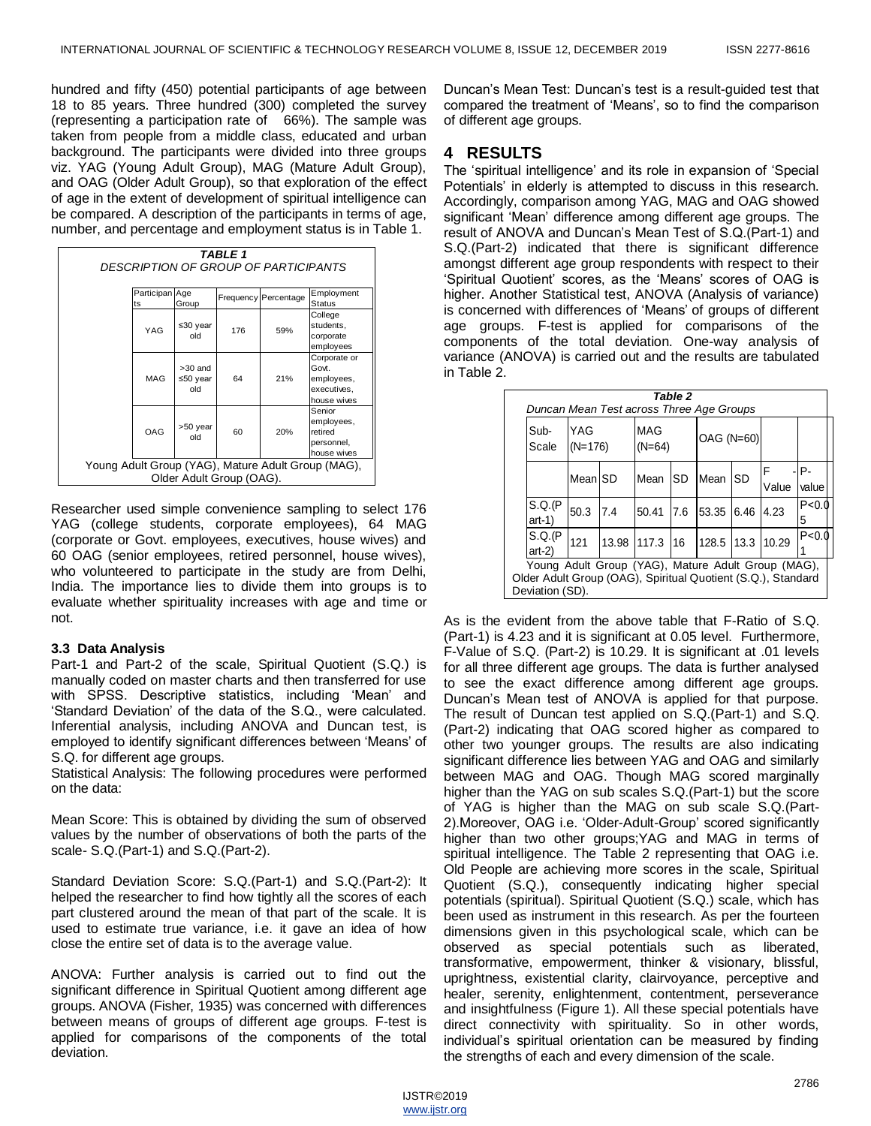hundred and fifty (450) potential participants of age between 18 to 85 years. Three hundred (300) completed the survey (representing a participation rate of 66%). The sample was taken from people from a middle class, educated and urban background. The participants were divided into three groups viz. YAG (Young Adult Group), MAG (Mature Adult Group), and OAG (Older Adult Group), so that exploration of the effect of age in the extent of development of spiritual intelligence can be compared. A description of the participants in terms of age, number, and percentage and employment status is in Table 1.

| TABLE 1<br>DESCRIPTION OF GROUP OF PARTICIPANTS                                |                      |                              |     |                      |                                                                   |  |  |  |  |
|--------------------------------------------------------------------------------|----------------------|------------------------------|-----|----------------------|-------------------------------------------------------------------|--|--|--|--|
|                                                                                | Participan Age<br>ts | Group                        |     | Frequency Percentage | Employment<br><b>Status</b>                                       |  |  |  |  |
|                                                                                | YAG                  | ≤30 year<br>old              | 176 | 59%                  | College<br>students,<br>corporate<br>employees                    |  |  |  |  |
|                                                                                | MAG                  | $>30$ and<br>≤50 year<br>old | 64  | 21%                  | Corporate or<br>Govt.<br>employees,<br>executives,<br>house wives |  |  |  |  |
|                                                                                | OAG                  | >50 year<br>hlo              | 60  | 20%                  | Senior<br>employees,<br>retired<br>personnel,<br>house wives      |  |  |  |  |
| Young Adult Group (YAG), Mature Adult Group (MAG),<br>Older Adult Group (OAG). |                      |                              |     |                      |                                                                   |  |  |  |  |

Researcher used simple convenience sampling to select 176 YAG (college students, corporate employees), 64 MAG (corporate or Govt. employees, executives, house wives) and 60 OAG (senior employees, retired personnel, house wives), who volunteered to participate in the study are from Delhi, India. The importance lies to divide them into groups is [to](http://www.spiritual-healing-for-you.com/everyday-spirituality.html)  [evaluate whether spirituality](http://www.spiritual-healing-for-you.com/everyday-spirituality.html) increases with age and time or not.

#### **3.3 Data Analysis**

Part-1 and Part-2 of the scale, Spiritual Quotient (S.Q.) is manually coded on master charts and then transferred for use with SPSS. Descriptive statistics, including 'Mean' and 'Standard Deviation' of the data of the S.Q., were calculated. Inferential analysis, including ANOVA and Duncan test, is employed to identify significant differences between 'Means' of S.Q. for different age groups.

Statistical Analysis: The following procedures were performed on the data:

Mean Score: This is obtained by dividing the sum of observed values by the number of observations of both the parts of the scale- S.Q.(Part-1) and S.Q.(Part-2).

Standard Deviation Score: S.Q.(Part-1) and S.Q.(Part-2): It helped the researcher to find how tightly all the scores of each part clustered around the mean of that part of the scale. It is used to estimate true variance, i.e. it gave an idea of how close the entire set of data is to the average value.

ANOVA: Further analysis is carried out to find out the significant difference in Spiritual Quotient among different age groups. ANOVA (Fisher, 1935) was concerned with differences between means of groups of different age groups. F-test is applied for comparisons of the components of the total deviation.

Duncan's Mean Test: Duncan's test is a result-guided test that compared the treatment of ‗Means', so to find the comparison of different age groups.

# **4 RESULTS**

The 'spiritual intelligence' and its role in expansion of 'Special Potentials' in elderly is attempted to discuss in this research. Accordingly, comparison among YAG, MAG and OAG showed significant 'Mean' difference among different age groups. The result of ANOVA and Duncan's Mean Test of S.Q.(Part-1) and S.Q.(Part-2) indicated that there is significant difference amongst different age group respondents with respect to their 'Spiritual Quotient' scores, as the 'Means' scores of OAG is higher. Another Statistical test, ANOVA (Analysis of variance) is concerned with differences of 'Means' of groups of different age groups. F-test is applied for comparisons of the components of the total deviation. One-way analysis of variance (ANOVA) is carried out and the results are tabulated in Table 2.

|                                                                                                                                       | Table 2<br>Duncan Mean Test across Three Age Groups |                  |             |                 |     |                   |           |             |              |  |  |
|---------------------------------------------------------------------------------------------------------------------------------------|-----------------------------------------------------|------------------|-------------|-----------------|-----|-------------------|-----------|-------------|--------------|--|--|
|                                                                                                                                       | Sub-<br>Scale                                       | YAG<br>$(N=176)$ |             | MAG<br>$(N=64)$ |     | <b>OAG (N=60)</b> |           |             |              |  |  |
|                                                                                                                                       |                                                     | <b>Mean SD</b>   |             | Mean            | SD  | Mean              | <b>SD</b> | F.<br>Value | P-<br>value  |  |  |
|                                                                                                                                       | S.Q.(P<br>$art-1)$                                  | 50.3             | 7.4         | 50.41           | 7.6 | 53.35             | 6.46      | 4.23        | P < 0.0<br>5 |  |  |
|                                                                                                                                       | S.Q.(P<br>$art-2$                                   | 121              | 13.98 117.3 |                 | 116 | 128.5             | 13.3      | 10.29       | P < 0.0      |  |  |
| Young Adult Group (YAG), Mature Adult Group (MAG),<br>Older Adult Group (OAG), Spiritual Quotient (S.Q.), Standard<br>Deviation (SD). |                                                     |                  |             |                 |     |                   |           |             |              |  |  |

As is the evident from the above table that F-Ratio of S.Q. (Part-1) is 4.23 and it is significant at 0.05 level. Furthermore, F-Value of S.Q. (Part-2) is 10.29. It is significant at .01 levels for all three different age groups. The data is further analysed to see the exact difference among different age groups. Duncan's Mean test of ANOVA is applied for that purpose. The result of Duncan test applied on S.Q.(Part-1) and S.Q. (Part-2) indicating that OAG scored higher as compared to other two younger groups. The results are also indicating significant difference lies between YAG and OAG and similarly between MAG and OAG. Though MAG scored marginally higher than the YAG on sub scales S.Q.(Part-1) but the score of YAG is higher than the MAG on sub scale S.Q.(Part-2).Moreover, OAG i.e. ‗Older-Adult-Group' scored significantly higher than two other groups;YAG and MAG in terms of spiritual intelligence. The Table 2 representing that OAG i.e. Old People are achieving more scores in the scale, Spiritual Quotient (S.Q.), consequently indicating higher special potentials (spiritual). Spiritual Quotient (S.Q.) scale, which has been used as instrument in this research. As per the fourteen dimensions given in this psychological scale, which can be observed as special potentials such as liberated, transformative, empowerment, thinker & visionary, blissful, uprightness, existential clarity, clairvoyance, perceptive and healer, serenity, enlightenment, contentment, perseverance and insightfulness (Figure 1). All these special potentials have direct connectivity with spirituality. So in other words, individual's spiritual orientation can be measured by finding the strengths of each and every dimension of the scale.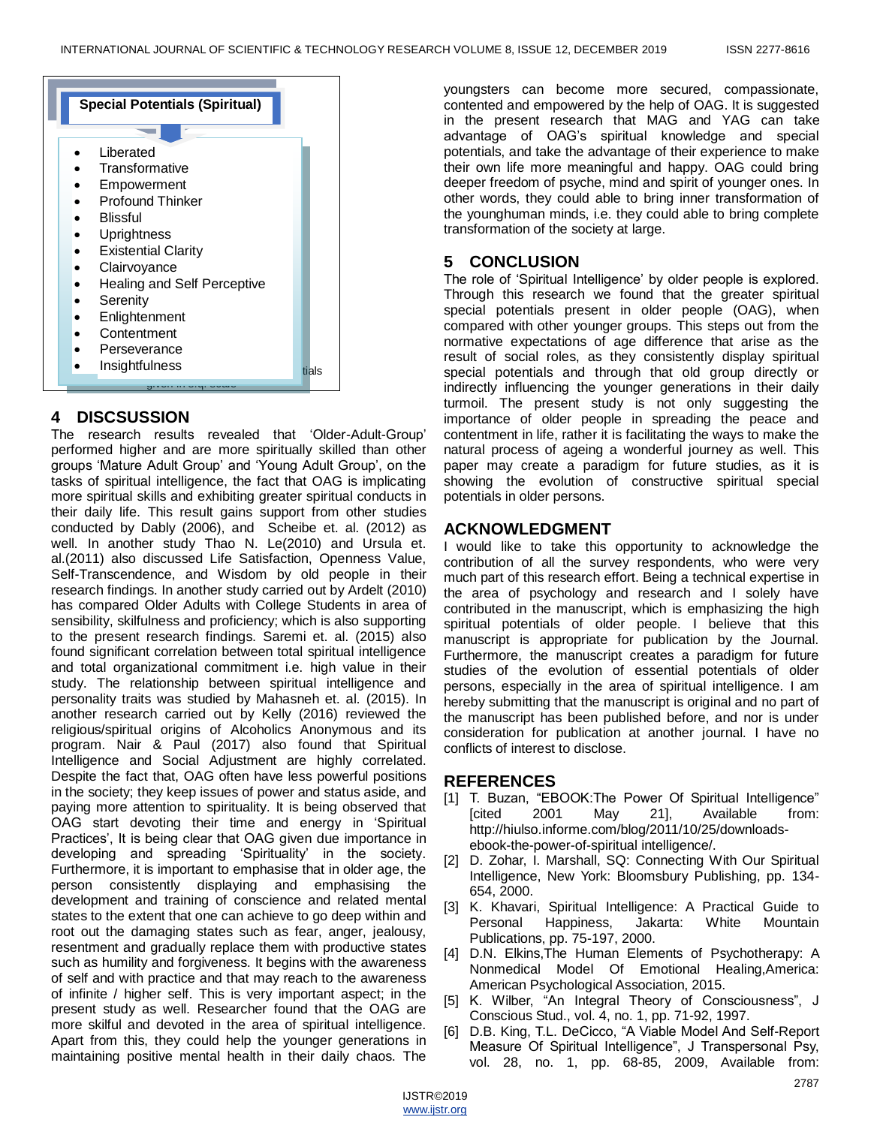

## **4 DISCSUSSION**

The research results revealed that 'Older-Adult-Group' performed higher and are more spiritually skilled than other groups 'Mature Adult Group' and 'Young Adult Group', on the tasks of spiritual intelligence, the fact that OAG is implicating more spiritual skills and exhibiting greater spiritual conducts in their daily life. This result gains support from other studies conducted by Dably (2006), and Scheibe et. al. (2012) as well. In another study Thao N. Le(2010) and Ursula et. al.(2011) also discussed Life Satisfaction, Openness Value, Self-Transcendence, and Wisdom by old people in their research findings. In another study carried out by Ardelt (2010) has compared Older Adults with College Students in area of sensibility, skilfulness and proficiency; which is also supporting to the present research findings. Saremi et. al. (2015) also found significant correlation between total spiritual intelligence and total organizational commitment i.e. high value in their study. The relationship between spiritual intelligence and personality traits was studied by Mahasneh et. al. (2015). In another research carried out by Kelly (2016) reviewed the religious/spiritual origins of Alcoholics Anonymous and its program. Nair & Paul (2017) also found that Spiritual Intelligence and Social Adjustment are highly correlated. Despite the fact that, OAG often have less powerful positions in the society; they keep issues of power and status aside, and paying more attention to spirituality. It is being observed that OAG start devoting their time and energy in 'Spiritual Practices', It is being clear that OAG given due importance in developing and spreading 'Spirituality' in the society. Furthermore, it is important to emphasise that in older age, the person consistently displaying and emphasising the development and training of conscience and related mental states to the extent that one can achieve to go deep within and root out the damaging states such as fear, anger, jealousy, resentment and gradually replace them with productive states such as humility and forgiveness. It begins with the awareness of self and with practice and that may reach to the awareness of infinite / higher self. This is very important aspect; in the present study as well. Researcher found that the OAG are more skilful and devoted in the area of spiritual intelligence. Apart from this, they could help the younger generations in maintaining positive mental health in their daily chaos. The

youngsters can become more secured, compassionate, contented and empowered by the help of OAG. It is suggested in the present research that MAG and YAG can take advantage of OAG's spiritual knowledge and special potentials, and take the advantage of their experience to make their own life more meaningful and happy. OAG could bring deeper freedom of psyche, mind and spirit of younger ones. In other words, they could able to bring inner transformation of the younghuman minds, i.e. they could able to bring complete transformation of the society at large.

# **5 CONCLUSION**

The role of 'Spiritual Intelligence' by older people is explored. Through this research we found that the greater spiritual special potentials present in older people (OAG), when compared with other younger groups. This steps out from the normative expectations of age difference that arise as the result of social roles, as they consistently display spiritual special potentials and through that old group directly or indirectly influencing the younger generations in their daily turmoil. The present study is not only suggesting the importance of older people in spreading the peace and contentment in life, rather it is facilitating the ways to make the natural process of ageing a wonderful journey as well. This paper may create a paradigm for future studies, as it is showing the evolution of constructive spiritual special potentials in older persons.

# **ACKNOWLEDGMENT**

I would like to take this opportunity to acknowledge the contribution of all the survey respondents, who were very much part of this research effort. Being a technical expertise in the area of psychology and research and I solely have contributed in the manuscript, which is emphasizing the high spiritual potentials of older people. I believe that this manuscript is appropriate for publication by the Journal. Furthermore, the manuscript creates a paradigm for future studies of the evolution of essential potentials of older persons, especially in the area of spiritual intelligence. I am hereby submitting that the manuscript is original and no part of the manuscript has been published before, and nor is under consideration for publication at another journal. I have no conflicts of interest to disclose.

# **REFERENCES**

- [1] T. Buzan, "EBOOK: The Power Of Spiritual Intelligence" [cited 2001 May 21], Available from: http://hiulso.informe.com/blog/2011/10/25/downloadsebook-the-power-of-spiritual intelligence/.
- [2] D. Zohar, I. Marshall, SQ: Connecting With Our Spiritual Intelligence, New York: Bloomsbury Publishing, pp. 134- 654, 2000.
- [3] K. Khavari, Spiritual Intelligence: A Practical Guide to Personal Happiness, Jakarta: White Mountain Publications, pp. 75-197, 2000.
- [4] D.N. Elkins,The Human Elements of Psychotherapy: A Nonmedical Model Of Emotional Healing,America: American Psychological Association, 2015.
- [5] K. Wilber, "An Integral Theory of Consciousness", J Conscious Stud., vol. 4, no. 1, pp. 71-92, 1997.
- [6] D.B. King, T.L. DeCicco, "A Viable Model And Self-Report Measure Of Spiritual Intelligence", J Transpersonal Psy, vol. 28, no. 1, pp. 68-85, 2009, Available from: